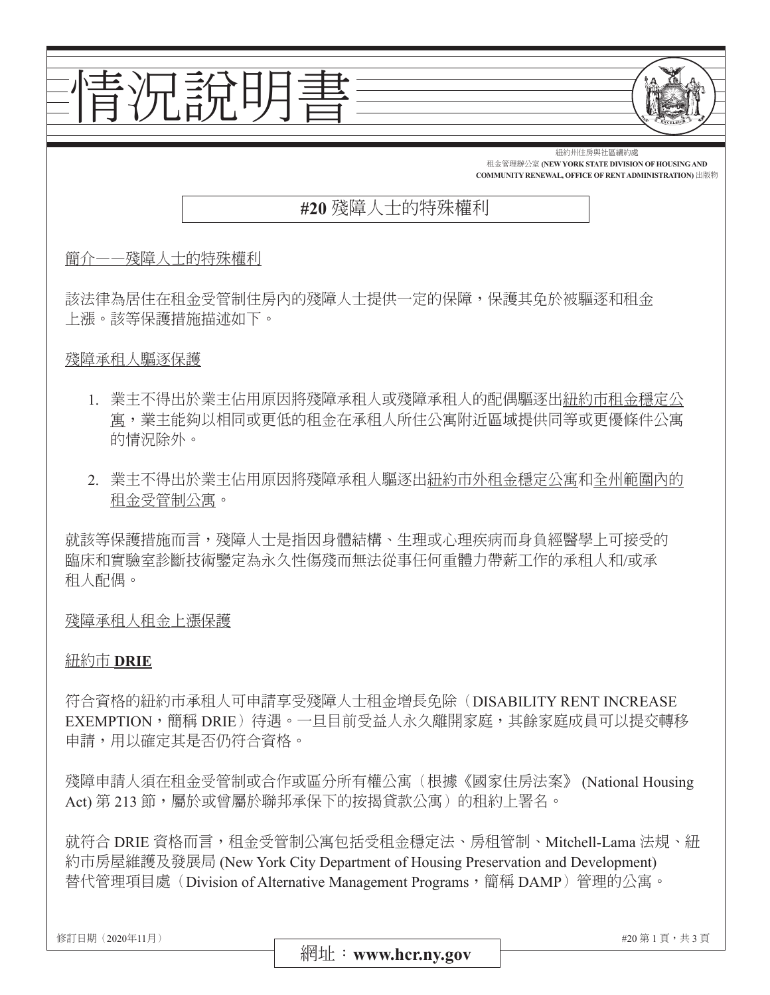

- 的情況除外。
- 2. 業主不得出於業主佔用原因將殘障承租人驅逐出紐約市外租金穩定公寓和全州範圍內的 租金受管制公寓。

就該等保護措施而言,殘障人士是指因身體結構、生理或心理疾病而身負經醫學上可接受的 臨床和實驗室診斷技術鑒定為永久性傷殘而無法從事任何重體力帶薪工作的承租人和/或承 租人配偶。

殘障承租人租金上漲保護

## 紐約市 **DRIE**

符合資格的紐約市承租人可申請享受殘障人士租金增長免除(DISABILITY RENT INCREASE EXEMPTION,簡稱 DRIE) 待遇。一旦目前受益人永久離開家庭,其餘家庭成員可以提交轉移 申請,用以確定其是否仍符合資格。

殘障申請人須在租金受管制或合作或區分所有權公寓(根據《國家住房法案》(National Housing Act) 第 213 節,屬於或曾屬於聯邦承保下的按揭貸款公寓) 的租約上署名。

就符合 DRIE 資格而言,租金受管制公寓包括受租金穩定法、房租管制、Mitchell-Lama 法規、紐 約市房屋維護及發展局 (New York City Department of Housing Preservation and Development) 替代管理項目處(Division of Alternative Management Programs,簡稱 DAMP)管理的公寓。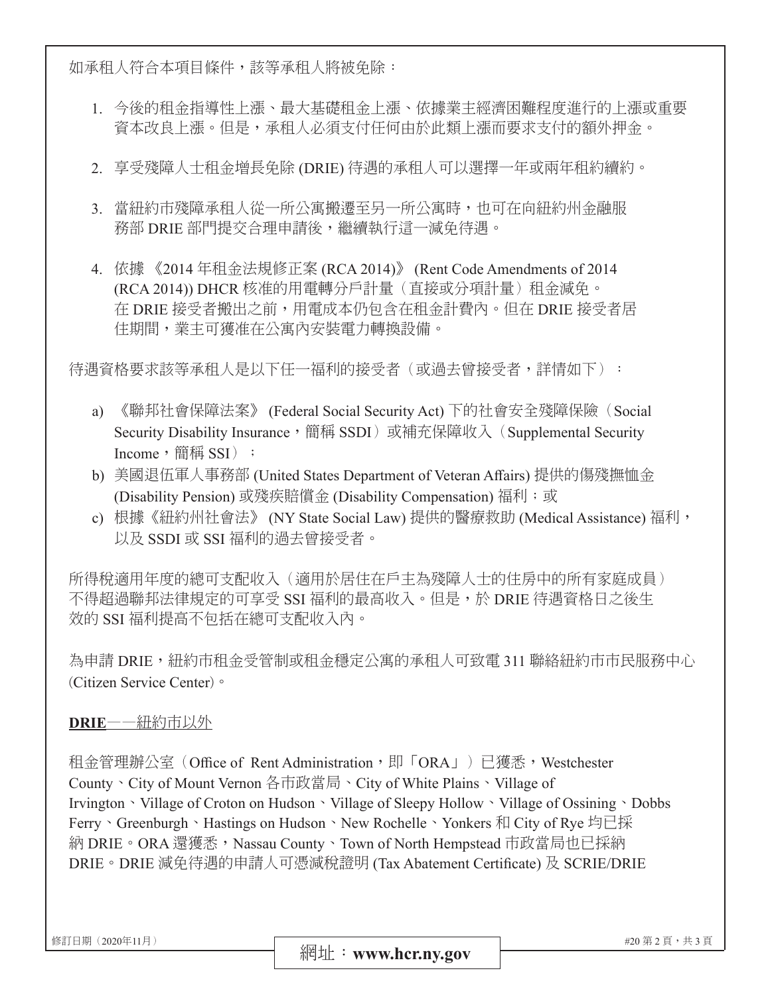如承租人符合本項目條件,該等承租人將被免除:

- 1. 今後的租金指導性上漲、最大基礎租金上漲、依據業主經濟困難程度進行的上漲或重要 資本改良上漲。但是,承租人必須支付任何由於此類上漲而要求支付的額外押金。
- 2. 享受殘障人士租金增長免除 (DRIE) 待遇的承租人可以選擇一年或兩年租約續約。
- 3. 當紐約市殘障承租人從一所公寓搬遷至另一所公寓時,也可在向紐約州金融服 務部 DRIE 部門提交合理申請後,繼續執行這一減免待遇。
- 4. 依據 《2014 年租金法規修正案 (RCA 2014)》 (Rent Code Amendments of 2014 (RCA 2014)) DHCR 核准的用電轉分戶計量(直接或分項計量) 租金減免。 在 DRIE 接受者搬出之前,用電成本仍包含在租金計費內。但在 DRIE 接受者居 住期間,業主可獲准在公寓內安裝電力轉換設備。

待遇資格要求該等承租人是以下任一福利的接受者(或過去曾接受者,詳情如下):

- a) 《聯邦社會保障法案》 (Federal Social Security Act) 下的社會安全殘障保險 (Social Security Disability Insurance,簡稱 SSDI)或補充保障收入(Supplemental Security Income, 簡稱 SSI) ;
- b) 美國退伍軍人事務部 (United States Department of Veteran Affairs) 提供的傷殘撫恤金 (Disability Pension) 或殘疾賠償金 (Disability Compensation) 福利; 或
- c) 根據《紐約州社會法》 (NY State Social Law) 提供的醫療救助 (Medical Assistance) 福利, 以及 SSDI 或 SSI 福利的過去曾接受者。

所得稅適用年度的總可支配收入(適用於居住在戶主為殘障人士的住房中的所有家庭成員) 不得超過聯邦法律規定的可享受 SSI 福利的最高收入。但是,於 DRIE 待遇資格日之後生 效的 SSI 福利提高不包括在總可支配收入內。

為申請 DRIE,紐約市租金受管制或租金穩定公寓的承租人可致電 311 聯絡紐約市市民服務中心 (Citizen Service Center)。

# **DRIE**——紐約市以外

租金管理辦公室 (Office of Rent Administration, 即「ORA」)已獲悉, Westchester County、City of Mount Vernon 各市政當局、City of White Plains、Village of Irvington、Village of Croton on Hudson、Village of Sleepy Hollow、Village of Ossining、Dobbs Ferry、Greenburgh、Hastings on Hudson、New Rochelle、Yonkers 和 City of Rye 均已採 納 DRIE。ORA 還獲悉,Nassau County、Town of North Hempstead 市政當局也已採納 DRIE。DRIE 減免待遇的申請人可憑減稅證明 (Tax Abatement Certificate) 及 SCRIE/DRIE